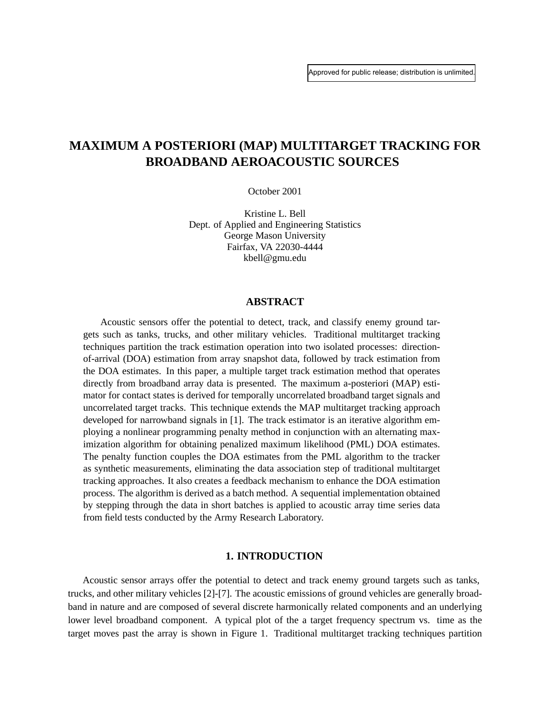# **MAXIMUM A POSTERIORI (MAP) MULTITARGET TRACKING FOR BROADBAND AEROACOUSTIC SOURCES**

October 2001

Kristine L. Bell Dept. of Applied and Engineering Statistics George Mason University Fairfax, VA 22030-4444 kbell@gmu.edu

### **ABSTRACT**

 Acoustic sensors offer the potential to detect, track, and classify enemy ground targets such as tanks, trucks, and other military vehicles. Traditional multitarget tracking techniques partition the track estimation operation into two isolated processes: directionof-arrival (DOA) estimation from array snapshot data, followed by track estimation from the DOA estimates. In this paper, a multiple target track estimation method that operates directly from broadband array data is presented. The maximum a-posteriori (MAP) estimator for contact states is derived for temporally uncorrelated broadband target signals and uncorrelated target tracks. This technique extends the MAP multitarget tracking approach developed for narrowband signals in [1]. The track estimator is an iterative algorithm employing a nonlinear programming penalty method in conjunction with an alternating maximization algorithm for obtaining penalized maximum likelihood (PML) DOA estimates. The penalty function couples the DOA estimates from the PML algorithm to the tracker as synthetic measurements, eliminating the data association step of traditional multitarget tracking approaches. It also creates a feedback mechanism to enhance the DOA estimation process. The algorithm is derived as a batch method. A sequential implementation obtained by stepping through the data in short batches is applied to acoustic array time series data from field tests conducted by the Army Research Laboratory.

### **1. INTRODUCTION**

 Acoustic sensor arrays offer the potential to detect and track enemy ground targets such as tanks, trucks, and other military vehicles [2]-[7]. The acoustic emissions of ground vehicles are generally broadband in nature and are composed of several discrete harmonically related components and an underlying lower level broadband component. A typical plot of the a target frequency spectrum vs. time as the target moves past the array is shown in Figure 1. Traditional multitarget tracking techniques partition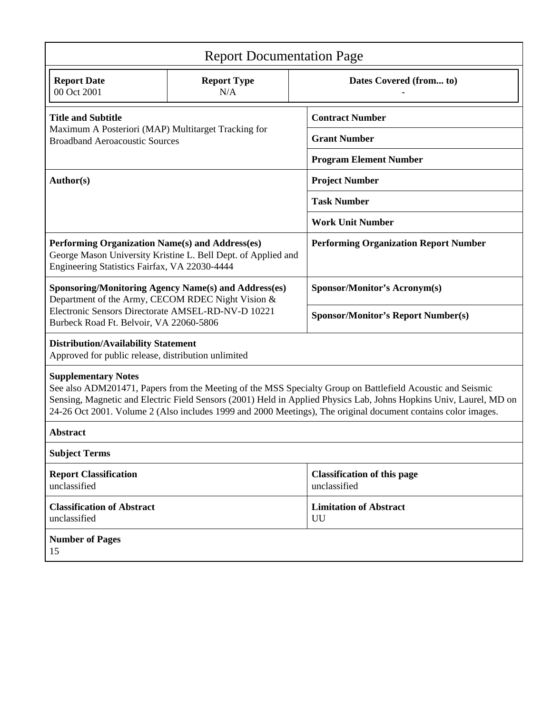| <b>Report Documentation Page</b>                                                                                                                                                                                                                                                                                                                                                |                           |                                                    |
|---------------------------------------------------------------------------------------------------------------------------------------------------------------------------------------------------------------------------------------------------------------------------------------------------------------------------------------------------------------------------------|---------------------------|----------------------------------------------------|
| <b>Report Date</b><br>00 Oct 2001                                                                                                                                                                                                                                                                                                                                               | <b>Report Type</b><br>N/A | Dates Covered (from to)                            |
| <b>Title and Subtitle</b><br>Maximum A Posteriori (MAP) Multitarget Tracking for<br><b>Broadband Aeroacoustic Sources</b>                                                                                                                                                                                                                                                       |                           | <b>Contract Number</b>                             |
|                                                                                                                                                                                                                                                                                                                                                                                 |                           | <b>Grant Number</b>                                |
|                                                                                                                                                                                                                                                                                                                                                                                 |                           | <b>Program Element Number</b>                      |
| Author(s)                                                                                                                                                                                                                                                                                                                                                                       |                           | <b>Project Number</b>                              |
|                                                                                                                                                                                                                                                                                                                                                                                 |                           | <b>Task Number</b>                                 |
|                                                                                                                                                                                                                                                                                                                                                                                 |                           | <b>Work Unit Number</b>                            |
| Performing Organization Name(s) and Address(es)<br>George Mason University Kristine L. Bell Dept. of Applied and<br>Engineering Statistics Fairfax, VA 22030-4444                                                                                                                                                                                                               |                           | <b>Performing Organization Report Number</b>       |
| <b>Sponsoring/Monitoring Agency Name(s) and Address(es)</b><br>Department of the Army, CECOM RDEC Night Vision &                                                                                                                                                                                                                                                                |                           | <b>Sponsor/Monitor's Acronym(s)</b>                |
| Electronic Sensors Directorate AMSEL-RD-NV-D 10221<br>Burbeck Road Ft. Belvoir, VA 22060-5806                                                                                                                                                                                                                                                                                   |                           | <b>Sponsor/Monitor's Report Number(s)</b>          |
| <b>Distribution/Availability Statement</b><br>Approved for public release, distribution unlimited                                                                                                                                                                                                                                                                               |                           |                                                    |
| <b>Supplementary Notes</b><br>See also ADM201471, Papers from the Meeting of the MSS Specialty Group on Battlefield Acoustic and Seismic<br>Sensing, Magnetic and Electric Field Sensors (2001) Held in Applied Physics Lab, Johns Hopkins Univ, Laurel, MD on<br>24-26 Oct 2001. Volume 2 (Also includes 1999 and 2000 Meetings), The original document contains color images. |                           |                                                    |
| <b>Abstract</b>                                                                                                                                                                                                                                                                                                                                                                 |                           |                                                    |
| <b>Subject Terms</b>                                                                                                                                                                                                                                                                                                                                                            |                           |                                                    |
| <b>Report Classification</b><br>unclassified                                                                                                                                                                                                                                                                                                                                    |                           | <b>Classification of this page</b><br>unclassified |
| <b>Classification of Abstract</b><br>unclassified                                                                                                                                                                                                                                                                                                                               |                           | <b>Limitation of Abstract</b><br>UU                |
| <b>Number of Pages</b><br>15                                                                                                                                                                                                                                                                                                                                                    |                           |                                                    |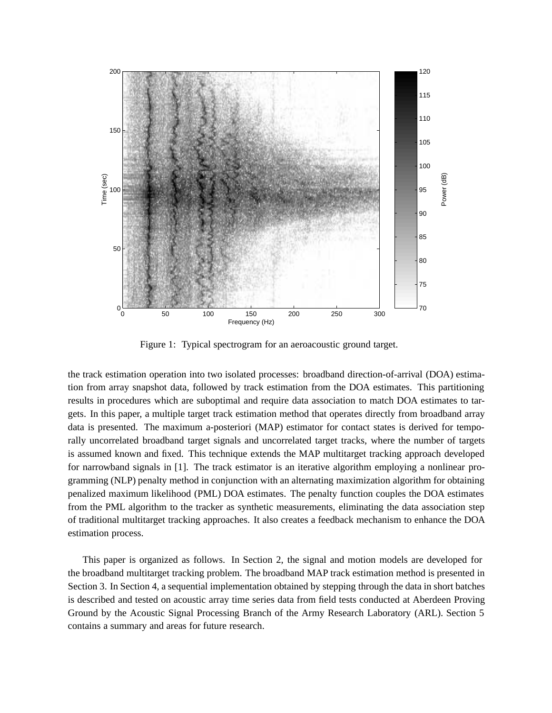

Figure 1: Typical spectrogram for an aeroacoustic ground target.

the track estimation operation into two isolated processes: broadband direction-of-arrival (DOA) estimation from array snapshot data, followed by track estimation from the DOA estimates. This partitioning results in procedures which are suboptimal and require data association to match DOA estimates to targets. In this paper, a multiple target track estimation method that operates directly from broadband array data is presented. The maximum a-posteriori (MAP) estimator for contact states is derived for temporally uncorrelated broadband target signals and uncorrelated target tracks, where the number of targets is assumed known and fixed. This technique extends the MAP multitarget tracking approach developed for narrowband signals in [1]. The track estimator is an iterative algorithm employing a nonlinear programming (NLP) penalty method in conjunction with an alternating maximization algorithm for obtaining penalized maximum likelihood (PML) DOA estimates. The penalty function couples the DOA estimates from the PML algorithm to the tracker as synthetic measurements, eliminating the data association step of traditional multitarget tracking approaches. It also creates a feedback mechanism to enhance the DOA estimation process.

 This paper is organized as follows. In Section 2, the signal and motion models are developed for the broadband multitarget tracking problem. The broadband MAP track estimation method is presented in Section 3. In Section 4, a sequential implementation obtained by stepping through the data in short batches is described and tested on acoustic array time series data from field tests conducted at Aberdeen Proving Ground by the Acoustic Signal Processing Branch of the Army Research Laboratory (ARL). Section 5 contains a summary and areas for future research.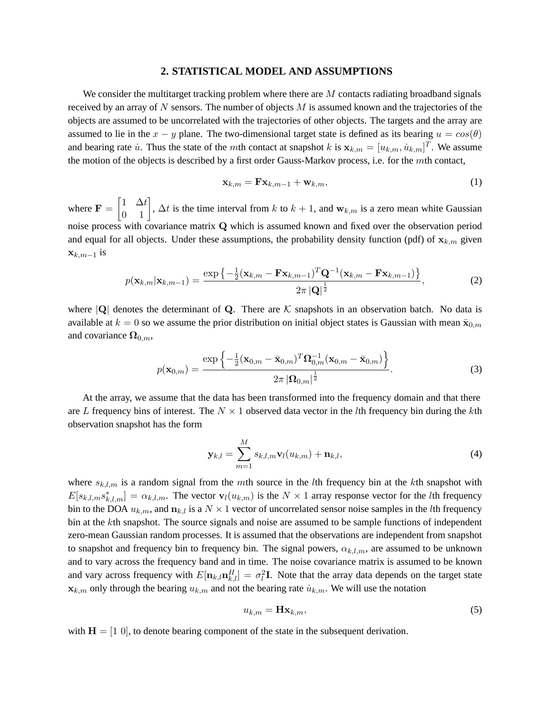#### **2. STATISTICAL MODEL AND ASSUMPTIONS**

We consider the multitarget tracking problem where there are  $M$  contacts radiating broadband signals received by an array of  $N$  sensors. The number of objects  $M$  is assumed known and the trajectories of the objects are assumed to be uncorrelated with the trajectories of other objects. The targets and the array are assumed to lie in the  $x - y$  plane. The two-dimensional target state is defined as its bearing  $u = cos(\theta)$ and bearing rate  $\dot{u}$ . Thus the state of the mth contact at snapshot k is  $\mathbf{x}_{k,m} = [u_{k,m}, \dot{u}_{k,m}]^T$ . We assume the motion of the objects is described by a first order Gauss-Markov process, i.e. for the mth contact,

$$
\mathbf{x}_{k,m} = \mathbf{F} \mathbf{x}_{k,m-1} + \mathbf{w}_{k,m},\tag{1}
$$

where  $\mathbf{F} = \begin{bmatrix} 1 & \Delta t \\ 0 & 1 \end{bmatrix}$ ,  $\Delta t$  is the time interval from k to  $k + 1$ , and  $\mathbf{w}_{k,m}$  is a zero mean white Gaussian noise process with covariance matrix Q which is assumed known and fixed over the observation period and equal for all objects. Under these assumptions, the probability density function (pdf) of  $\mathbf{x}_{k,m}$  given  $\mathbf{x}_{k,m-1}$  is

$$
p(\mathbf{x}_{k,m}|\mathbf{x}_{k,m-1}) = \frac{\exp\left\{-\frac{1}{2}(\mathbf{x}_{k,m} - \mathbf{F}\mathbf{x}_{k,m-1})^T\mathbf{Q}^{-1}(\mathbf{x}_{k,m} - \mathbf{F}\mathbf{x}_{k,m-1})\right\}}{2\pi |\mathbf{Q}|^{\frac{1}{2}}},
$$
(2)

where  $|Q|$  denotes the determinant of Q. There are K snapshots in an observation batch. No data is available at  $k = 0$  so we assume the prior distribution on initial object states is Gaussian with mean  $\bar{\mathbf{x}}_{0,m}$ and covariance  $\Omega_{0,m}$ ,

$$
p(\mathbf{x}_{0,m}) = \frac{\exp\left\{-\frac{1}{2}(\mathbf{x}_{0,m} - \bar{\mathbf{x}}_{0,m})^T \mathbf{\Omega}_{0,m}^{-1} (\mathbf{x}_{0,m} - \bar{\mathbf{x}}_{0,m})\right\}}{2\pi |\mathbf{\Omega}_{0,m}|^{\frac{1}{2}}}.
$$
(3)

 At the array, we assume that the data has been transformed into the frequency domain and that there are L frequency bins of interest. The  $N \times 1$  observed data vector in the lth frequency bin during the kth observation snapshot has the form

$$
\mathbf{y}_{k,l} = \sum_{m=1}^{M} s_{k,l,m} \mathbf{v}_l(u_{k,m}) + \mathbf{n}_{k,l},
$$
\n(4)

where  $s_{k,l,m}$  is a random signal from the mth source in the lth frequency bin at the kth snapshot with  $E[s_{k,l,m}s_{k,l,m}^*] = \alpha_{k,l,m}$ . The vector  $\mathbf{v}_l(u_{k,m})$  is the  $N \times 1$  array response vector for the *l*th frequency bin to the DOA  $u_{k,m}$ , and  $n_{k,l}$  is a  $N \times 1$  vector of uncorrelated sensor noise samples in the *l*th frequency bin at the kth snapshot. The source signals and noise are assumed to be sample functions of independent zero-mean Gaussian random processes. It is assumed that the observations are independent from snapshot to snapshot and frequency bin to frequency bin. The signal powers,  $\alpha_{k,l,m}$ , are assumed to be unknown and to vary across the frequency band and in time. The noise covariance matrix is assumed to be known and vary across frequency with  $E[\mathbf{n}_{k,l}\mathbf{n}^H_{k,l}] = \sigma_l^2 \mathbf{I}$ . Note that the array data depends on the target state  $\mathbf{x}_{k,m}$  only through the bearing  $u_{k,m}$  and not the bearing rate  $\dot{u}_{k,m}$ . We will use the notation

$$
u_{k,m} = \mathbf{Hx}_{k,m},\tag{5}
$$

with  $H = \begin{bmatrix} 1 & 0 \end{bmatrix}$ , to denote bearing component of the state in the subsequent derivation.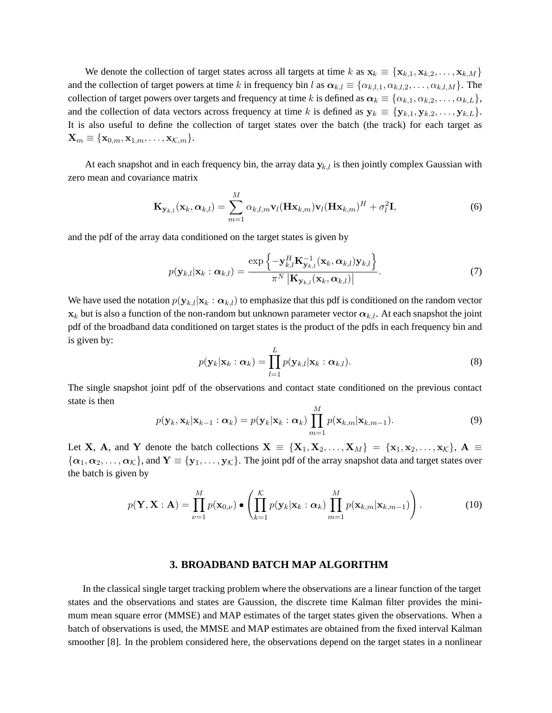We denote the collection of target states across all targets at time k as  $\mathbf{x}_k \equiv \{\mathbf{x}_{k,1}, \mathbf{x}_{k,2}, \dots, \mathbf{x}_{k,M}\}\$ and the collection of target powers at time k in frequency bin l as  $\alpha_{k,l} \equiv \{\alpha_{k,l,1}, \alpha_{k,l,2}, \dots, \alpha_{k,l,M}\}\.$  The collection of target powers over targets and frequency at time k is defined as  $\alpha_k \equiv \{\alpha_{k,1}, \alpha_{k,2}, \dots, \alpha_{k,L}\},\$ and the collection of data vectors across frequency at time k is defined as  $y_k \equiv \{y_{k,1}, y_{k,2}, \ldots, y_{k,L}\}.$ It is also useful to define the collection of target states over the batch (the track) for each target as  $\mathbf{X}_m \equiv \{\mathbf{x}_{0,m}, \mathbf{x}_{1,m}, \ldots, \mathbf{x}_{\mathcal{K},m}\}.$ 

At each snapshot and in each frequency bin, the array data  $y_{k,l}$  is then jointly complex Gaussian with zero mean and covariance matrix

$$
\mathbf{K}_{\mathbf{y}_{k,l}}(\mathbf{x}_k, \boldsymbol{\alpha}_{k,l}) = \sum_{m=1}^{M} \alpha_{k,l,m} \mathbf{v}_l (\mathbf{H}\mathbf{x}_{k,m}) \mathbf{v}_l (\mathbf{H}\mathbf{x}_{k,m})^H + \sigma_l^2 \mathbf{I},
$$
\n(6)

and the pdf of the array data conditioned on the target states is given by

$$
p(\mathbf{y}_{k,l}|\mathbf{x}_k:\boldsymbol{\alpha}_{k,l}) = \frac{\exp\left\{-\mathbf{y}_{k,l}^H \mathbf{K}_{\mathbf{y}_{k,l}}^{-1}(\mathbf{x}_k,\boldsymbol{\alpha}_{k,l})\mathbf{y}_{k,l}\right\}}{\pi^N |\mathbf{K}_{\mathbf{y}_{k,l}}(\mathbf{x}_k,\boldsymbol{\alpha}_{k,l})|}.
$$
(7)

We have used the notation  $p(\mathbf{y}_{k,l}|\mathbf{x}_k : \alpha_{k,l})$  to emphasize that this pdf is conditioned on the random vector  $x_k$  but is also a function of the non-random but unknown parameter vector  $\alpha_{k,l}$ . At each snapshot the joint pdf of the broadband data conditioned on target states is the product of the pdfs in each frequency bin and is given by:

$$
p(\mathbf{y}_k|\mathbf{x}_k:\boldsymbol{\alpha}_k) = \prod_{l=1}^L p(\mathbf{y}_{k,l}|\mathbf{x}_k:\boldsymbol{\alpha}_{k,l}).
$$
\n(8)

The single snapshot joint pdf of the observations and contact state conditioned on the previous contact state is then

$$
p(\mathbf{y}_k, \mathbf{x}_k | \mathbf{x}_{k-1} : \boldsymbol{\alpha}_k) = p(\mathbf{y}_k | \mathbf{x}_k : \boldsymbol{\alpha}_k) \prod_{m=1}^M p(\mathbf{x}_{k,m} | \mathbf{x}_{k,m-1}).
$$
\n(9)

Let X, A, and Y denote the batch collections  $X = \{X_1, X_2, \ldots, X_M\} = \{x_1, x_2, \ldots, x_{\mathcal{K}}\}, A \equiv \{x_1, x_2, \ldots, x_{\mathcal{K}}\}$  $\{\alpha_1, \alpha_2, \ldots, \alpha_K\}$ , and  $Y \equiv \{y_1, \ldots, y_K\}$ . The joint pdf of the array snapshot data and target states over the batch is given by

$$
p(\mathbf{Y}, \mathbf{X} : \mathbf{A}) = \prod_{\nu=1}^{M} p(\mathbf{x}_{0,\nu}) \bullet \left( \prod_{k=1}^{K} p(\mathbf{y}_k | \mathbf{x}_k : \alpha_k) \prod_{m=1}^{M} p(\mathbf{x}_{k,m} | \mathbf{x}_{k,m-1}) \right).
$$
 (10)

### **3. BROADBAND BATCH MAP ALGORITHM**

 In the classical single target tracking problem where the observations are a linear function of the target states and the observations and states are Gaussion, the discrete time Kalman filter provides the minimum mean square error (MMSE) and MAP estimates of the target states given the observations. When a batch of observations is used, the MMSE and MAP estimates are obtained from the fixed interval Kalman smoother [8]. In the problem considered here, the observations depend on the target states in a nonlinear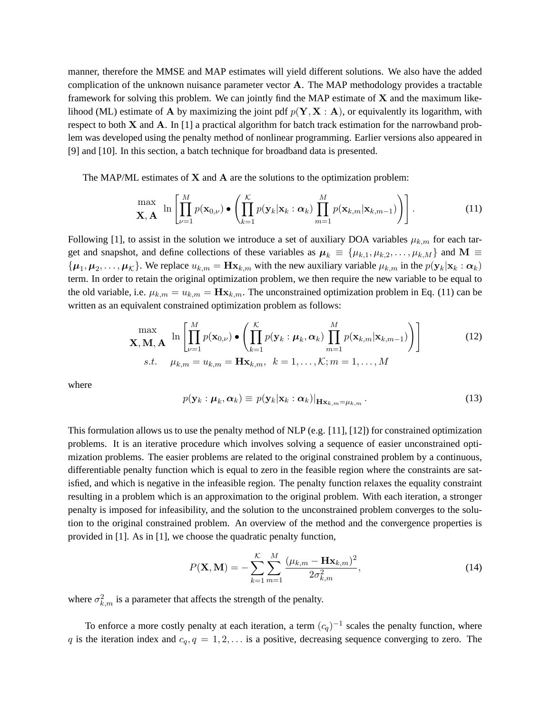manner, therefore the MMSE and MAP estimates will yield different solutions. We also have the added complication of the unknown nuisance parameter vector A. The MAP methodology provides a tractable framework for solving this problem. We can jointly find the MAP estimate of  $X$  and the maximum likelihood (ML) estimate of **A** by maximizing the joint pdf  $p(Y, X : A)$ , or equivalently its logarithm, with respect to both X and A. In [1] a practical algorithm for batch track estimation for the narrowband problem was developed using the penalty method of nonlinear programming. Earlier versions also appeared in [9] and [10]. In this section, a batch technique for broadband data is presented.

The MAP/ML estimates of  $X$  and  $A$  are the solutions to the optimization problem:

$$
\max_{\mathbf{X}, \mathbf{A}} \ln \left[ \prod_{\nu=1}^{M} p(\mathbf{x}_{0,\nu}) \bullet \left( \prod_{k=1}^{K} p(\mathbf{y}_k | \mathbf{x}_k : \boldsymbol{\alpha}_k) \prod_{m=1}^{M} p(\mathbf{x}_{k,m} | \mathbf{x}_{k,m-1}) \right) \right].
$$
 (11)

Following [1], to assist in the solution we introduce a set of auxiliary DOA variables  $\mu_{k,m}$  for each target and snapshot, and define collections of these variables as  $\mu_k \equiv {\mu_{k,1}, \mu_{k,2}, \dots, \mu_{k,M}}$  and  $\mathbf{M} \equiv \mathbf{M}$  $\{\mu_1, \mu_2, \ldots, \mu_K\}$ . We replace  $u_{k,m} = \mathbf{H} \mathbf{x}_{k,m}$  with the new auxiliary variable  $\mu_{k,m}$  in the  $p(\mathbf{y}_k | \mathbf{x}_k : \alpha_k)$ term. In order to retain the original optimization problem, we then require the new variable to be equal to the old variable, i.e.  $\mu_{k,m} = u_{k,m} = \mathbf{H} \mathbf{x}_{k,m}$ . The unconstrained optimization problem in Eq. (11) can be written as an equivalent constrained optimization problem as follows:

$$
\max_{\mathbf{X}, \mathbf{M}, \mathbf{A}} \ln \left[ \prod_{\nu=1}^{M} p(\mathbf{x}_{0,\nu}) \bullet \left( \prod_{k=1}^{K} p(\mathbf{y}_k : \boldsymbol{\mu}_k, \boldsymbol{\alpha}_k) \prod_{m=1}^{M} p(\mathbf{x}_{k,m} | \mathbf{x}_{k,m-1}) \right) \right]
$$
\n(12)\n  
\n*s.t.*  $\mu_{k,m} = u_{k,m} = \mathbf{H} \mathbf{x}_{k,m}, \quad k = 1, \dots, K; m = 1, \dots, M$ 

where

$$
p(\mathbf{y}_k : \boldsymbol{\mu}_k, \boldsymbol{\alpha}_k) \equiv p(\mathbf{y}_k | \mathbf{x}_k : \boldsymbol{\alpha}_k)|_{\mathbf{H} \mathbf{x}_{k,m} = \mu_{k,m}}.
$$
\n(13)

This formulation allows us to use the penalty method of NLP (e.g. [11], [12]) for constrained optimization problems. It is an iterative procedure which involves solving a sequence of easier unconstrained optimization problems. The easier problems are related to the original constrained problem by a continuous, differentiable penalty function which is equal to zero in the feasible region where the constraints are satisfied, and which is negative in the infeasible region. The penalty function relaxes the equality constraint resulting in a problem which is an approximation to the original problem. With each iteration, a stronger penalty is imposed for infeasibility, and the solution to the unconstrained problem converges to the solution to the original constrained problem. An overview of the method and the convergence properties is provided in [1]. As in [1], we choose the quadratic penalty function,

$$
P(\mathbf{X}, \mathbf{M}) = -\sum_{k=1}^{K} \sum_{m=1}^{M} \frac{(\mu_{k,m} - \mathbf{H}\mathbf{x}_{k,m})^2}{2\sigma_{k,m}^2},
$$
(14)

where  $\sigma_{k,m}^2$  is a parameter that affects the strength of the penalty.

To enforce a more costly penalty at each iteration, a term  $(c_q)^{-1}$  scales the penalty function, where q is the iteration index and  $c_q$ ,  $q = 1, 2, \ldots$  is a positive, decreasing sequence converging to zero. The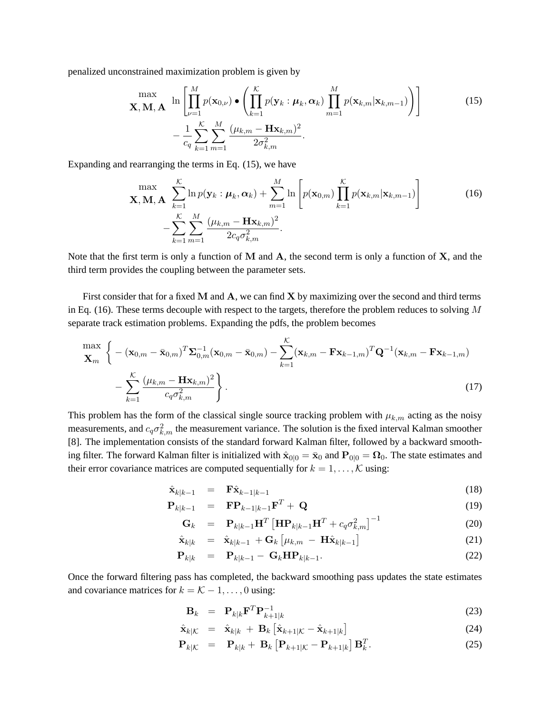penalized unconstrained maximization problem is given by

$$
\mathbf{X}, \mathbf{M}, \mathbf{A} \quad \ln \left[ \prod_{\nu=1}^{M} p(\mathbf{x}_{0,\nu}) \bullet \left( \prod_{k=1}^{K} p(\mathbf{y}_k : \boldsymbol{\mu}_k, \boldsymbol{\alpha}_k) \prod_{m=1}^{M} p(\mathbf{x}_{k,m} | \mathbf{x}_{k,m-1}) \right) \right] \tag{15}
$$
\n
$$
- \frac{1}{c_q} \sum_{k=1}^{K} \sum_{m=1}^{M} \frac{(\mu_{k,m} - \mathbf{H} \mathbf{x}_{k,m})^2}{2 \sigma_{k,m}^2}.
$$

Expanding and rearranging the terms in Eq. (15), we have

$$
\max_{\mathbf{X}, \mathbf{M}, \mathbf{A}} \sum_{k=1}^{K} \ln p(\mathbf{y}_k : \boldsymbol{\mu}_k, \boldsymbol{\alpha}_k) + \sum_{m=1}^{M} \ln \left[ p(\mathbf{x}_{0,m}) \prod_{k=1}^{K} p(\mathbf{x}_{k,m} | \mathbf{x}_{k,m-1}) \right] - \sum_{k=1}^{K} \sum_{m=1}^{M} \frac{(\mu_{k,m} - \mathbf{H} \mathbf{x}_{k,m})^2}{2c_q \sigma_{k,m}^2}.
$$
\n(16)

Note that the first term is only a function of  $M$  and  $A$ , the second term is only a function of  $X$ , and the third term provides the coupling between the parameter sets.

First consider that for a fixed  $M$  and  $A$ , we can find  $X$  by maximizing over the second and third terms in Eq. (16). These terms decouple with respect to the targets, therefore the problem reduces to solving  $M$ separate track estimation problems. Expanding the pdfs, the problem becomes

$$
\max_{\mathbf{X}_{m}} \left\{ - (\mathbf{x}_{0,m} - \bar{\mathbf{x}}_{0,m})^T \mathbf{\Sigma}_{0,m}^{-1} (\mathbf{x}_{0,m} - \bar{\mathbf{x}}_{0,m}) - \sum_{k=1}^{K} (\mathbf{x}_{k,m} - \mathbf{F} \mathbf{x}_{k-1,m})^T \mathbf{Q}^{-1} (\mathbf{x}_{k,m} - \mathbf{F} \mathbf{x}_{k-1,m}) - \sum_{k=1}^{K} \frac{(\mu_{k,m} - \mathbf{H} \mathbf{x}_{k,m})^2}{c_q \sigma_{k,m}^2} \right\}.
$$
\n(17)

This problem has the form of the classical single source tracking problem with  $\mu_{k,m}$  acting as the noisy measurements, and  $c_q \sigma_{k,m}^2$  the measurement variance. The solution is the fixed interval Kalman smoother [8]. The implementation consists of the standard forward Kalman filter, followed by a backward smoothing filter. The forward Kalman filter is initialized with  $\hat{x}_{0|0} = \bar{x}_0$  and  $P_{0|0} = \Omega_0$ . The state estimates and their error covariance matrices are computed sequentially for  $k = 1, \dots, K$  using:

$$
\hat{\mathbf{x}}_{k|k-1} = \mathbf{F}\hat{\mathbf{x}}_{k-1|k-1} \tag{18}
$$

$$
\mathbf{P}_{k|k-1} = \mathbf{F} \mathbf{P}_{k-1|k-1} \mathbf{F}^T + \mathbf{Q} \tag{19}
$$

$$
\mathbf{G}_k = \mathbf{P}_{k|k-1} \mathbf{H}^T \left[ \mathbf{H} \mathbf{P}_{k|k-1} \mathbf{H}^T + c_q \sigma_{k,m}^2 \right]^{-1} \tag{20}
$$

$$
\hat{\mathbf{x}}_{k|k} = \hat{\mathbf{x}}_{k|k-1} + \mathbf{G}_k \left[ \mu_{k,m} - \mathbf{H} \hat{\mathbf{x}}_{k|k-1} \right]
$$
 (21)

$$
\mathbf{P}_{k|k} = \mathbf{P}_{k|k-1} - \mathbf{G}_k \mathbf{H} \mathbf{P}_{k|k-1}.
$$
 (22)

Once the forward filtering pass has completed, the backward smoothing pass updates the state estimates and covariance matrices for  $k = \mathcal{K} - 1, \ldots, 0$  using:

$$
\mathbf{B}_k = \mathbf{P}_{k|k} \mathbf{F}^T \mathbf{P}_{k+1|k}^{-1} \tag{23}
$$

$$
\hat{\mathbf{x}}_{k|K} = \hat{\mathbf{x}}_{k|k} + \mathbf{B}_k \left[ \hat{\mathbf{x}}_{k+1|K} - \hat{\mathbf{x}}_{k+1|k} \right]
$$
\n(24)

$$
\mathbf{P}_{k|K} = \mathbf{P}_{k|k} + \mathbf{B}_k \left[ \mathbf{P}_{k+1|K} - \mathbf{P}_{k+1|k} \right] \mathbf{B}_k^T.
$$
 (25)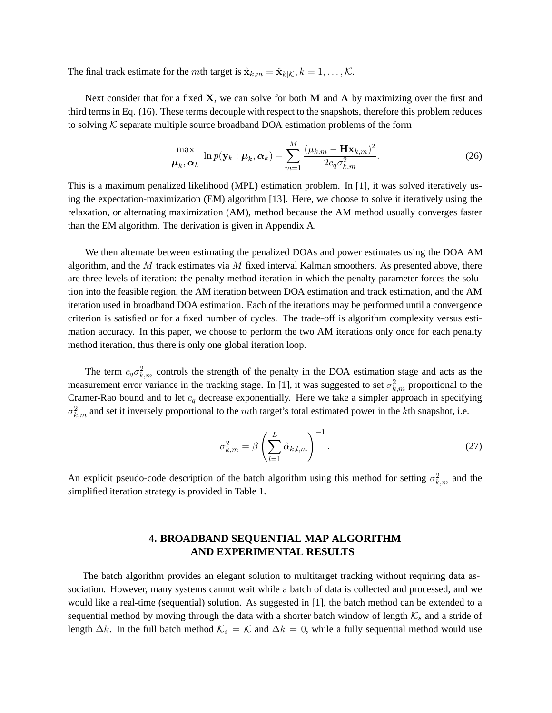The final track estimate for the *m*th target is  $\hat{\mathbf{x}}_{k,m} = \hat{\mathbf{x}}_{k|K}, k = 1, \ldots, K$ .

Next consider that for a fixed  $X$ , we can solve for both M and A by maximizing over the first and third terms in Eq. (16). These terms decouple with respect to the snapshots, therefore this problem reduces to solving  $K$  separate multiple source broadband DOA estimation problems of the form

$$
\frac{\max}{\boldsymbol{\mu}_k, \boldsymbol{\alpha}_k} \ln p(\mathbf{y}_k : \boldsymbol{\mu}_k, \boldsymbol{\alpha}_k) - \sum_{m=1}^M \frac{(\mu_{k,m} - \mathbf{H}\mathbf{x}_{k,m})^2}{2c_q \sigma_{k,m}^2}.
$$
 (26)

This is a maximum penalized likelihood (MPL) estimation problem. In [1], it was solved iteratively using the expectation-maximization (EM) algorithm [13]. Here, we choose to solve it iteratively using the relaxation, or alternating maximization (AM), method because the AM method usually converges faster than the EM algorithm. The derivation is given in Appendix A.

 We then alternate between estimating the penalized DOAs and power estimates using the DOA AM algorithm, and the  $M$  track estimates via  $M$  fixed interval Kalman smoothers. As presented above, there are three levels of iteration: the penalty method iteration in which the penalty parameter forces the solution into the feasible region, the AM iteration between DOA estimation and track estimation, and the AM iteration used in broadband DOA estimation. Each of the iterations may be performed until a convergence criterion is satisfied or for a fixed number of cycles. The trade-off is algorithm complexity versus estimation accuracy. In this paper, we choose to perform the two AM iterations only once for each penalty method iteration, thus there is only one global iteration loop.

The term  $c_q \sigma_{k,m}^2$  controls the strength of the penalty in the DOA estimation stage and acts as the measurement error variance in the tracking stage. In [1], it was suggested to set  $\sigma_{k,m}^2$  proportional to the Cramer-Rao bound and to let  $c_q$  decrease exponentially. Here we take a simpler approach in specifying  $\sigma_{k,m}^2$  and set it inversely proportional to the mth target's total estimated power in the kth snapshot, i.e.

$$
\sigma_{k,m}^2 = \beta \left( \sum_{l=1}^L \hat{\alpha}_{k,l,m} \right)^{-1}.
$$
 (27)

An explicit pseudo-code description of the batch algorithm using this method for setting  $\sigma_{k,m}^2$  and the simplified iteration strategy is provided in Table 1.

## **4. BROADBAND SEQUENTIAL MAP ALGORITHM AND EXPERIMENTAL RESULTS**

 The batch algorithm provides an elegant solution to multitarget tracking without requiring data association. However, many systems cannot wait while a batch of data is collected and processed, and we would like a real-time (sequential) solution. As suggested in [1], the batch method can be extended to a sequential method by moving through the data with a shorter batch window of length  $K_s$  and a stride of length  $\Delta k$ . In the full batch method  $\mathcal{K}_s = \mathcal{K}$  and  $\Delta k = 0$ , while a fully sequential method would use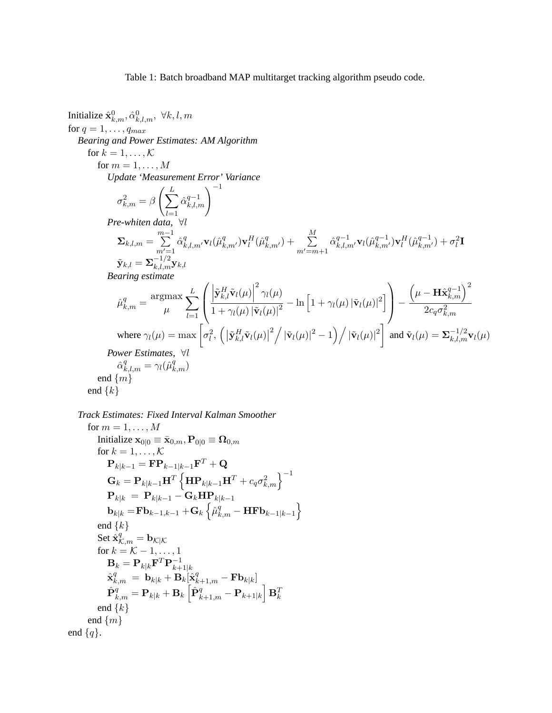Table 1: Batch broadband MAP multitarget tracking algorithm pseudo code.

Initialize  $\hat{\mathbf{x}}_{k,m}^{0},\hat{\alpha}_{k,l,m}^{0},\ \forall k,l,m$ for  $q = 1, \ldots, q_{max}$ *Bearing and Power Estimates: AM Algorithm* for  $k = 1, \ldots, \mathcal{K}$ for  $m = 1, \ldots, M$ *Update 'Measurement Error' Variance*  $\sigma_{k,m}^2 = \beta \left( \sum^L \right)$  $_{l=1}$  $\hat{\alpha}_{k}^{q-1}$  $_{\begin{subarray}{c} q-1 \ k,l,m \end{subarray}}^{-1}$ *Pre-whiten data*, ∀l  $\boldsymbol{\Sigma}_{k,l,m} = \sum^{m-1}$  $m'=1$  $\hat{\alpha}^q_{k,l,m'}\mathbf{v}_l(\hat{\mu}^q_{k,m'})\mathbf{v}^H_l(\hat{\mu}^q_{k,m'}) + \quad \sum\limits_{i=1}^M$  $m'=m+1$  $\hat{\alpha}^{q-1}_{k,l,m'}\mathbf{v}_l(\hat{\mu}^{q-1}_{k,m'})\mathbf{v}^H_l(\hat{\mu}^{q-1}_{k,m'}) + \sigma^2_l \mathbf{I}$  $\tilde{\mathbf{y}}_{k,l} = \mathbf{\Sigma}_{k,l,m}^{-1/2} \mathbf{y}_{k,l}$ *Bearing estimate*  $\hat{\mu}_{k,m}^q = \frac{\text{argmax}}{n}$  $\mu$  $\sum$ L  $_{l=1}$  $\sqrt{ }$  $\left\lfloor \right\rfloor$  $\left| \tilde{\mathbf{y}}_{k,l}^H \tilde{\mathbf{v}}_l(\mu) \right|$  $^2$   $\gamma_l(\mu)$  $\frac{\left|\mathbf{v}\right| k,l\mathbf{v}(k)}{1+\gamma_l(\mu)|\tilde{\mathbf{v}}_l(\mu)|^2} - \ln\left[1+\gamma_l(\mu)|\tilde{\mathbf{v}}_l(\mu)|^2\right]$  $\setminus$  <sup>−</sup>  $\left(\mu-\mathbf{H}\hat{\mathbf{x}}_{k,m}^{q-1}\right)^2$  $2c_q\sigma_{k,m}^2$ where  $\gamma_l(\mu) = \max \left[ \sigma_l^2, \left( \left| \tilde{\mathbf{y}}_{k,l}^H \tilde{\mathbf{v}}_l(\mu) \right| \right) \right]$  $\left(2^{2}/|\tilde{\mathbf{v}}_{l}(\mu)|^{2}-1\right)/|\tilde{\mathbf{v}}_{l}(\mu)|^{2}\right)$  and  $\tilde{\mathbf{v}}_{l}(\mu)=\sum_{k,l,m}^{-1/2} \mathbf{v}_{l}(\mu)$ *Power Estimates*, ∀l  $\hat{\alpha}^q_{k,l,m} = \gamma_l(\hat{\mu}^q_{k,m})$ end  $\{m\}$ end  $\{k\}$ 

```
Track Estimates: Fixed Interval Kalman Smoother
```

```
for m = 1, \ldots, MInitialize \mathbf{x}_{0|0} \equiv \bar{\mathbf{x}}_{0,m}, \mathbf{P}_{0|0} \equiv \Omega_{0,m}for k = 1, \ldots, \mathcal{K}\mathbf{P}_{k|k-1} = \mathbf{F} \mathbf{P}_{k-1|k-1} \mathbf{F}^T + \mathbf{Q}\mathbf{G}_k = \mathbf{P}_{k|k-1}\mathbf{H}^T\left\{ \mathbf{H}\mathbf{P}_{k|k-1}\mathbf{H}^T + c_q\sigma_{k,m}^2\right\}^{-1}\mathbf{P}_{k|k} = \mathbf{P}_{k|k-1} - \mathbf{G}_k \mathbf{H} \mathbf{P}_{k|k-1}\mathbf{b}_{k|k} = \mathbf{F} \mathbf{b}_{k-1,k-1} + \mathbf{G}_k \left\{ \hat{\mu}_{k,m}^q - \mathbf{H} \mathbf{F} \mathbf{b}_{k-1|k-1} \right\}end \{k\}Set \hat{\mathbf{x}}_{\mathcal{K},m}^q = \mathbf{b}_{\mathcal{K}|\mathcal{K}}for k = \mathcal{K} - 1, \ldots, 1\mathbf{B}_k = \mathbf{P}_{k|k} \mathbf{F}^T \mathbf{P}_{k+}^{-1}\frac{k+1}{k}\hat{\textbf{x}}_{k,m}^q \ = \ \textbf{b}_{k|k} + \textbf{B}_k[\hat{\textbf{x}}_{k+1,m}^q - \textbf{F}\textbf{b}_{k|k}]\hat{\mathbf{P}}_{k,m}^q = \mathbf{P}_{k|k} + \mathbf{B}_k\left[\hat{\mathbf{P}}_{k+1,m}^q - \mathbf{P}_{k+1|k}\right]\mathbf{B}_k^Tend \{k\}end \{m\}end \{q\}.
```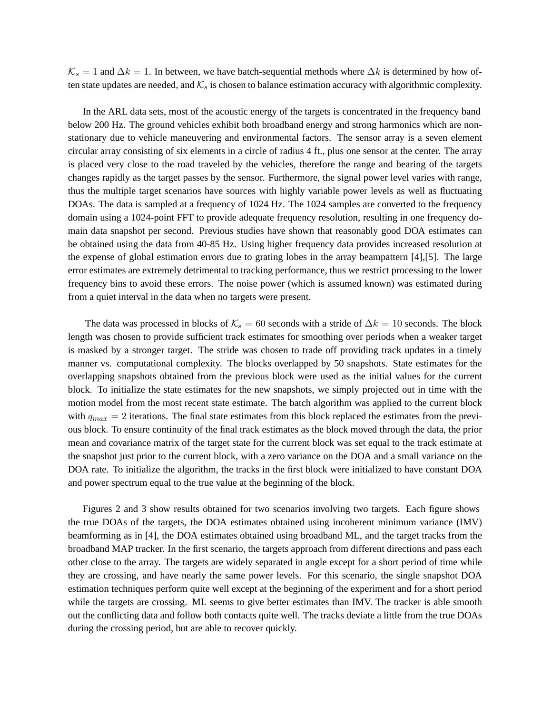$\mathcal{K}_s = 1$  and  $\Delta k = 1$ . In between, we have batch-sequential methods where  $\Delta k$  is determined by how often state updates are needed, and  $K_s$  is chosen to balance estimation accuracy with algorithmic complexity.

 In the ARL data sets, most of the acoustic energy of the targets is concentrated in the frequency band below 200 Hz. The ground vehicles exhibit both broadband energy and strong harmonics which are nonstationary due to vehicle maneuvering and environmental factors. The sensor array is a seven element circular array consisting of six elements in a circle of radius 4 ft., plus one sensor at the center. The array is placed very close to the road traveled by the vehicles, therefore the range and bearing of the targets changes rapidly as the target passes by the sensor. Furthermore, the signal power level varies with range, thus the multiple target scenarios have sources with highly variable power levels as well as fluctuating DOAs. The data is sampled at a frequency of 1024 Hz. The 1024 samples are converted to the frequency domain using a 1024-point FFT to provide adequate frequency resolution, resulting in one frequency domain data snapshot per second. Previous studies have shown that reasonably good DOA estimates can be obtained using the data from 40-85 Hz. Using higher frequency data provides increased resolution at the expense of global estimation errors due to grating lobes in the array beampattern [4],[5]. The large error estimates are extremely detrimental to tracking performance, thus we restrict processing to the lower frequency bins to avoid these errors. The noise power (which is assumed known) was estimated during from a quiet interval in the data when no targets were present.

The data was processed in blocks of  $\mathcal{K}_s = 60$  seconds with a stride of  $\Delta k = 10$  seconds. The block length was chosen to provide sufficient track estimates for smoothing over periods when a weaker target is masked by a stronger target. The stride was chosen to trade off providing track updates in a timely manner vs. computational complexity. The blocks overlapped by 50 snapshots. State estimates for the overlapping snapshots obtained from the previous block were used as the initial values for the current block. To initialize the state estimates for the new snapshots, we simply projected out in time with the motion model from the most recent state estimate. The batch algorithm was applied to the current block with  $q_{max} = 2$  iterations. The final state estimates from this block replaced the estimates from the previous block. To ensure continuity of the final track estimates as the block moved through the data, the prior mean and covariance matrix of the target state for the current block was set equal to the track estimate at the snapshot just prior to the current block, with a zero variance on the DOA and a small variance on the DOA rate. To initialize the algorithm, the tracks in the first block were initialized to have constant DOA and power spectrum equal to the true value at the beginning of the block.

 Figures 2 and 3 show results obtained for two scenarios involving two targets. Each figure shows the true DOAs of the targets, the DOA estimates obtained using incoherent minimum variance (IMV) beamforming as in [4], the DOA estimates obtained using broadband ML, and the target tracks from the broadband MAP tracker. In the first scenario, the targets approach from different directions and pass each other close to the array. The targets are widely separated in angle except for a short period of time while they are crossing, and have nearly the same power levels. For this scenario, the single snapshot DOA estimation techniques perform quite well except at the beginning of the experiment and for a short period while the targets are crossing. ML seems to give better estimates than IMV. The tracker is able smooth out the conflicting data and follow both contacts quite well. The tracks deviate a little from the true DOAs during the crossing period, but are able to recover quickly.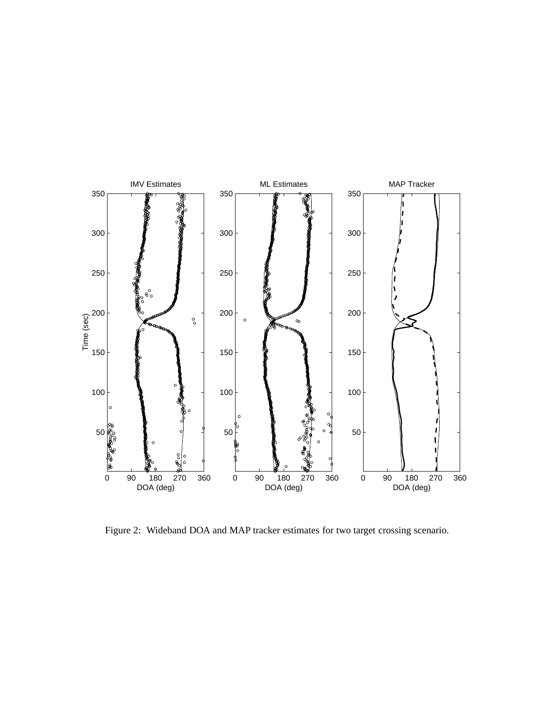

Figure 2: Wideband DOA and MAP tracker estimates for two target crossing scenario.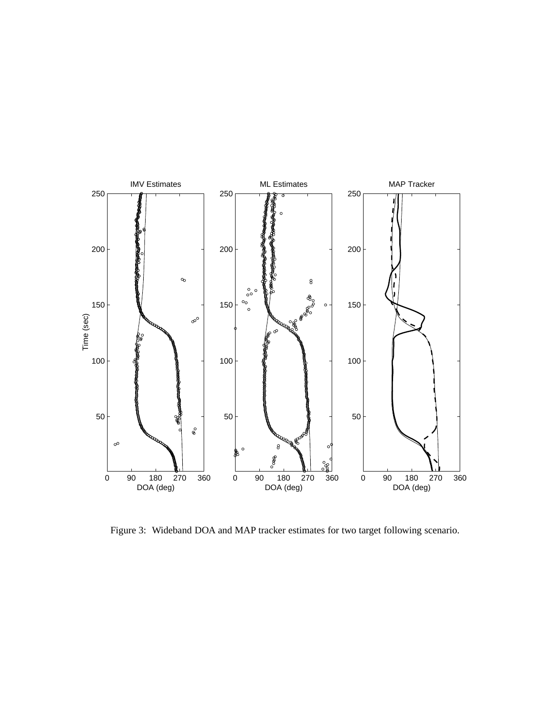

Figure 3: Wideband DOA and MAP tracker estimates for two target following scenario.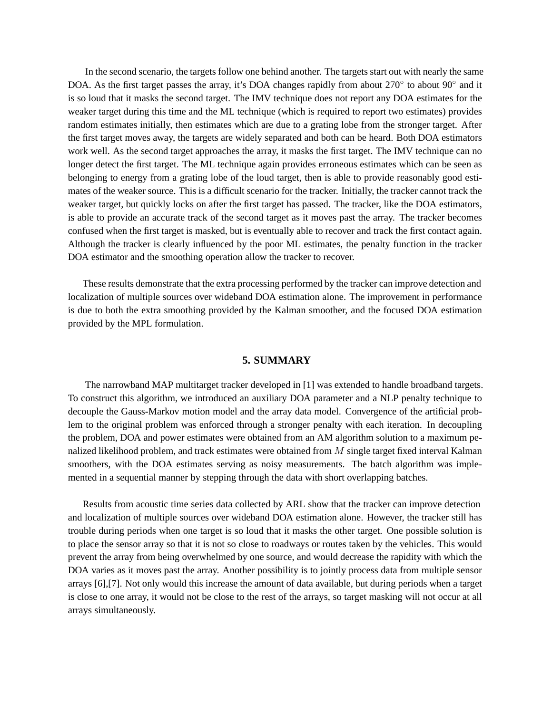In the second scenario, the targets follow one behind another. The targets start out with nearly the same DOA. As the first target passes the array, it's DOA changes rapidly from about 270° to about 90° and it is so loud that it masks the second target. The IMV technique does not report any DOA estimates for the weaker target during this time and the ML technique (which is required to report two estimates) provides random estimates initially, then estimates which are due to a grating lobe from the stronger target. After the first target moves away, the targets are widely separated and both can be heard. Both DOA estimators work well. As the second target approaches the array, it masks the first target. The IMV technique can no longer detect the first target. The ML technique again provides erroneous estimates which can be seen as belonging to energy from a grating lobe of the loud target, then is able to provide reasonably good estimates of the weaker source. This is a difficult scenario for the tracker. Initially, the tracker cannot track the weaker target, but quickly locks on after the first target has passed. The tracker, like the DOA estimators, is able to provide an accurate track of the second target as it moves past the array. The tracker becomes confused when the first target is masked, but is eventually able to recover and track the first contact again. Although the tracker is clearly influenced by the poor ML estimates, the penalty function in the tracker DOA estimator and the smoothing operation allow the tracker to recover.

 These results demonstrate that the extra processing performed by the tracker can improve detection and localization of multiple sources over wideband DOA estimation alone. The improvement in performance is due to both the extra smoothing provided by the Kalman smoother, and the focused DOA estimation provided by the MPL formulation.

### **5. SUMMARY**

 The narrowband MAP multitarget tracker developed in [1] was extended to handle broadband targets. To construct this algorithm, we introduced an auxiliary DOA parameter and a NLP penalty technique to decouple the Gauss-Markov motion model and the array data model. Convergence of the artificial problem to the original problem was enforced through a stronger penalty with each iteration. In decoupling the problem, DOA and power estimates were obtained from an AM algorithm solution to a maximum penalized likelihood problem, and track estimates were obtained from  $M$  single target fixed interval Kalman smoothers, with the DOA estimates serving as noisy measurements. The batch algorithm was implemented in a sequential manner by stepping through the data with short overlapping batches.

 Results from acoustic time series data collected by ARL show that the tracker can improve detection and localization of multiple sources over wideband DOA estimation alone. However, the tracker still has trouble during periods when one target is so loud that it masks the other target. One possible solution is to place the sensor array so that it is not so close to roadways or routes taken by the vehicles. This would prevent the array from being overwhelmed by one source, and would decrease the rapidity with which the DOA varies as it moves past the array. Another possibility is to jointly process data from multiple sensor arrays [6],[7]. Not only would this increase the amount of data available, but during periods when a target is close to one array, it would not be close to the rest of the arrays, so target masking will not occur at all arrays simultaneously.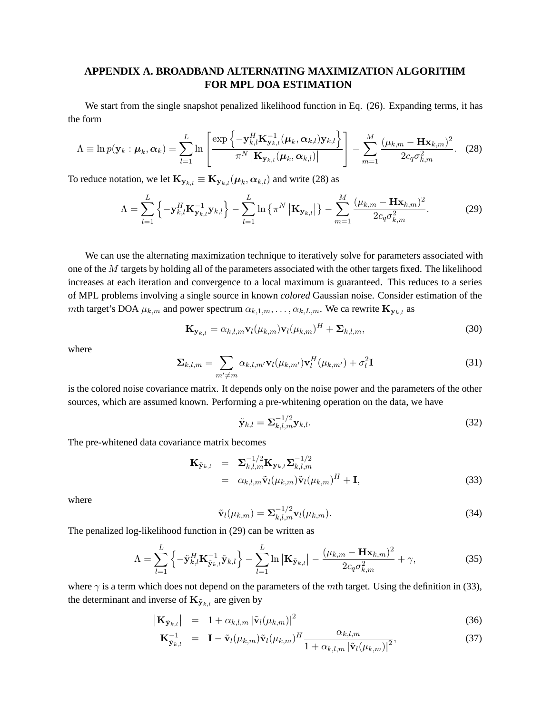### **APPENDIX A. BROADBAND ALTERNATING MAXIMIZATION ALGORITHM FOR MPL DOA ESTIMATION**

We start from the single snapshot penalized likelihood function in Eq. (26). Expanding terms, it has the form

$$
\Lambda \equiv \ln p(\mathbf{y}_k : \boldsymbol{\mu}_k, \boldsymbol{\alpha}_k) = \sum_{l=1}^L \ln \left[ \frac{\exp \left\{ -\mathbf{y}_{k,l}^H \mathbf{K}_{\mathbf{y}_{k,l}}^{-1}(\boldsymbol{\mu}_k, \boldsymbol{\alpha}_{k,l}) \mathbf{y}_{k,l} \right\}}{\pi^N |\mathbf{K}_{\mathbf{y}_{k,l}}(\boldsymbol{\mu}_k, \boldsymbol{\alpha}_{k,l})|} \right] - \sum_{m=1}^M \frac{(\mu_{k,m} - \mathbf{H} \mathbf{x}_{k,m})^2}{2c_q \sigma_{k,m}^2}.
$$
 (28)

To reduce notation, we let  $\mathbf{K}_{\mathbf{y}_{k,l}} \equiv \mathbf{K}_{\mathbf{y}_{k,l}}(\boldsymbol{\mu}_k, \boldsymbol{\alpha}_{k,l})$  and write (28) as

$$
\Lambda = \sum_{l=1}^{L} \left\{ -\mathbf{y}_{k,l}^{H} \mathbf{K}_{\mathbf{y}_{k,l}}^{-1} \mathbf{y}_{k,l} \right\} - \sum_{l=1}^{L} \ln \left\{ \pi^{N} \left| \mathbf{K}_{\mathbf{y}_{k,l}} \right| \right\} - \sum_{m=1}^{M} \frac{(\mu_{k,m} - \mathbf{H} \mathbf{x}_{k,m})^{2}}{2c_{q} \sigma_{k,m}^{2}}.
$$
 (29)

 We can use the alternating maximization technique to iteratively solve for parameters associated with one of the M targets by holding all of the parameters associated with the other targets fixed. The likelihood increases at each iteration and convergence to a local maximum is guaranteed. This reduces to a series of MPL problems involving a single source in known *colored* Gaussian noise. Consider estimation of the mth target's DOA  $\mu_{k,m}$  and power spectrum  $\alpha_{k,1,m}, \ldots, \alpha_{k,L,m}$ . We ca rewrite  $\mathbf{K}_{\mathbf{y}_{k,l}}$  as

$$
\mathbf{K}_{\mathbf{y}_{k,l}} = \alpha_{k,l,m} \mathbf{v}_l(\mu_{k,m}) \mathbf{v}_l(\mu_{k,m})^H + \mathbf{\Sigma}_{k,l,m},
$$
\n(30)

where

$$
\Sigma_{k,l,m} = \sum_{m' \neq m} \alpha_{k,l,m'} \mathbf{v}_l(\mu_{k,m'}) \mathbf{v}_l^H(\mu_{k,m'}) + \sigma_l^2 \mathbf{I}
$$
\n(31)

is the colored noise covariance matrix. It depends only on the noise power and the parameters of the other sources, which are assumed known. Performing a pre-whitening operation on the data, we have

$$
\tilde{\mathbf{y}}_{k,l} = \mathbf{\Sigma}_{k,l,m}^{-1/2} \mathbf{y}_{k,l}.
$$
\n(32)

The pre-whitened data covariance matrix becomes

$$
\mathbf{K}_{\tilde{\mathbf{y}}_{k,l}} = \mathbf{\Sigma}_{k,l,m}^{-1/2} \mathbf{K}_{\mathbf{y}_{k,l}} \mathbf{\Sigma}_{k,l,m}^{-1/2} \n= \alpha_{k,l,m} \tilde{\mathbf{v}}_l(\mu_{k,m}) \tilde{\mathbf{v}}_l(\mu_{k,m})^H + \mathbf{I},
$$
\n(33)

where

$$
\tilde{\mathbf{v}}_l(\mu_{k,m}) = \mathbf{\Sigma}_{k,l,m}^{-1/2} \mathbf{v}_l(\mu_{k,m}). \tag{34}
$$

The penalized log-likelihood function in (29) can be written as

$$
\Lambda = \sum_{l=1}^{L} \left\{ -\tilde{\mathbf{y}}_{k,l}^{H} \mathbf{K}_{\tilde{\mathbf{y}}_{k,l}}^{-1} \tilde{\mathbf{y}}_{k,l} \right\} - \sum_{l=1}^{L} \ln \left| \mathbf{K}_{\tilde{\mathbf{y}}_{k,l}} \right| - \frac{(\mu_{k,m} - \mathbf{H}\mathbf{x}_{k,m})^2}{2c_q \sigma_{k,m}^2} + \gamma,
$$
\n(35)

where  $\gamma$  is a term which does not depend on the parameters of the *mth* target. Using the definition in (33), the determinant and inverse of  $\mathbf{K}_{\tilde{\mathbf{y}}_{k,l}}$  are given by

$$
\left| \mathbf{K}_{\tilde{\mathbf{y}}_{k,l}} \right| = 1 + \alpha_{k,l,m} \left| \tilde{\mathbf{v}}_l(\mu_{k,m}) \right|^2 \tag{36}
$$

$$
\mathbf{K}_{\tilde{\mathbf{y}}_{k,l}}^{-1} = \mathbf{I} - \tilde{\mathbf{v}}_l(\mu_{k,m}) \tilde{\mathbf{v}}_l(\mu_{k,m})^H \frac{\alpha_{k,l,m}}{1 + \alpha_{k,l,m} |\tilde{\mathbf{v}}_l(\mu_{k,m})|^2},
$$
(37)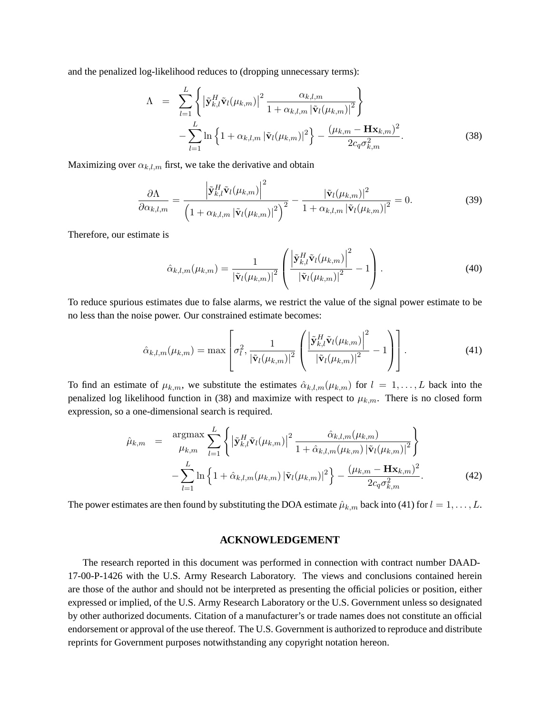and the penalized log-likelihood reduces to (dropping unnecessary terms):

$$
\Lambda = \sum_{l=1}^{L} \left\{ \left| \tilde{\mathbf{y}}_{k,l}^{H} \tilde{\mathbf{v}}_{l}(\mu_{k,m}) \right|^{2} \frac{\alpha_{k,l,m}}{1 + \alpha_{k,l,m} \left| \tilde{\mathbf{v}}_{l}(\mu_{k,m}) \right|^{2}} \right\} - \sum_{l=1}^{L} \ln \left\{ 1 + \alpha_{k,l,m} \left| \tilde{\mathbf{v}}_{l}(\mu_{k,m}) \right|^{2} \right\} - \frac{(\mu_{k,m} - \mathbf{H}\mathbf{x}_{k,m})^{2}}{2c_{q}\sigma_{k,m}^{2}}.
$$
 (38)

Maximizing over  $\alpha_{k,l,m}$  first, we take the derivative and obtain

$$
\frac{\partial \Lambda}{\partial \alpha_{k,l,m}} = \frac{\left| \tilde{\mathbf{y}}_{k,l}^H \tilde{\mathbf{v}}_l(\mu_{k,m}) \right|^2}{\left( 1 + \alpha_{k,l,m} \left| \tilde{\mathbf{v}}_l(\mu_{k,m}) \right|^2 \right)^2} - \frac{\left| \tilde{\mathbf{v}}_l(\mu_{k,m}) \right|^2}{1 + \alpha_{k,l,m} \left| \tilde{\mathbf{v}}_l(\mu_{k,m}) \right|^2} = 0.
$$
\n(39)

Therefore, our estimate is

$$
\hat{\alpha}_{k,l,m}(\mu_{k,m}) = \frac{1}{|\tilde{\mathbf{v}}_l(\mu_{k,m})|^2} \left( \frac{\left| \tilde{\mathbf{y}}_{k,l}^H \tilde{\mathbf{v}}_l(\mu_{k,m}) \right|^2}{|\tilde{\mathbf{v}}_l(\mu_{k,m})|^2} - 1 \right). \tag{40}
$$

To reduce spurious estimates due to false alarms, we restrict the value of the signal power estimate to be no less than the noise power. Our constrained estimate becomes:

$$
\hat{\alpha}_{k,l,m}(\mu_{k,m}) = \max \left[ \sigma_l^2, \frac{1}{|\tilde{\mathbf{v}}_l(\mu_{k,m})|^2} \left( \frac{\left| \tilde{\mathbf{y}}_{k,l}^H \tilde{\mathbf{v}}_l(\mu_{k,m}) \right|^2}{|\tilde{\mathbf{v}}_l(\mu_{k,m})|^2} - 1 \right) \right].
$$
\n(41)

To find an estimate of  $\mu_{k,m}$ , we substitute the estimates  $\hat{\alpha}_{k,l,m}(\mu_{k,m})$  for  $l = 1, \ldots, L$  back into the penalized log likelihood function in (38) and maximize with respect to  $\mu_{k,m}$ . There is no closed form expression, so a one-dimensional search is required.

$$
\hat{\mu}_{k,m} = \underset{-\sum_{l=1}^{L} \ln \left\{ \left| \tilde{\mathbf{y}}_{k,l}^{H} \tilde{\mathbf{v}}_{l}(\mu_{k,m}) \right|^{2} \frac{\hat{\alpha}_{k,l,m}(\mu_{k,m})}{1 + \hat{\alpha}_{k,l,m}(\mu_{k,m}) \left| \tilde{\mathbf{v}}_{l}(\mu_{k,m}) \right|^{2} \right\}}{-\sum_{l=1}^{L} \ln \left\{ 1 + \hat{\alpha}_{k,l,m}(\mu_{k,m}) \left| \tilde{\mathbf{v}}_{l}(\mu_{k,m}) \right|^{2} \right\} - \frac{(\mu_{k,m} - \mathbf{H}\mathbf{x}_{k,m})^{2}}{2c_{q}\sigma_{k,m}^{2}}.
$$
\n(42)

The power estimates are then found by substituting the DOA estimate  $\hat{\mu}_{k,m}$  back into (41) for  $l = 1, \ldots, L$ .

### **ACKNOWLEDGEMENT**

 The research reported in this document was performed in connection with contract number DAAD-17-00-P-1426 with the U.S. Army Research Laboratory. The views and conclusions contained herein are those of the author and should not be interpreted as presenting the official policies or position, either expressed or implied, of the U.S. Army Research Laboratory or the U.S. Government unless so designated by other authorized documents. Citation of a manufacturer's or trade names does not constitute an official endorsement or approval of the use thereof. The U.S. Government is authorized to reproduce and distribute reprints for Government purposes notwithstanding any copyright notation hereon.